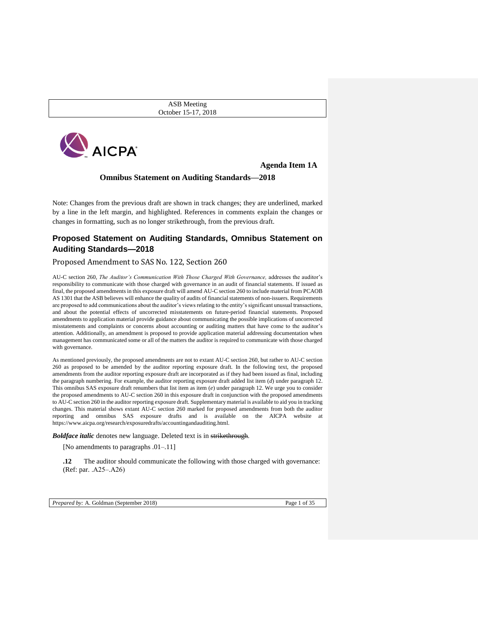ASB Meeting October 15-17, 2018



**Agenda Item 1A**

**Omnibus Statement on Auditing Standards—2018**

Note: Changes from the previous draft are shown in track changes; they are underlined, marked by a line in the left margin, and highlighted. References in comments explain the changes or changes in formatting, such as no longer strikethrough, from the previous draft.

# **Proposed Statement on Auditing Standards, Omnibus Statement on Auditing Standards—2018**

Proposed Amendment to SAS No. 122, Section 260

AU-C section 260, *The Auditor's Communication With Those Charged With Governance,* addresses the auditor's responsibility to communicate with those charged with governance in an audit of financial statements. If issued as final, the proposed amendments in this exposure draft will amend AU-C section 260 to include material from PCAOB AS 1301 that the ASB believes will enhance the quality of audits of financial statements of non-issuers. Requirements are proposed to add communications about the auditor's views relating to the entity's significant unusual transactions, and about the potential effects of uncorrected misstatements on future-period financial statements. Proposed amendments to application material provide guidance about communicating the possible implications of uncorrected misstatements and complaints or concerns about accounting or auditing matters that have come to the auditor's attention. Additionally, an amendment is proposed to provide application material addressing documentation when management has communicated some or all of the matters the auditor is required to communicate with those charged with governance.

As mentioned previously, the proposed amendments are not to extant AU-C section 260, but rather to AU-C section 260 as proposed to be amended by the auditor reporting exposure draft*.* In the following text, the proposed amendments from the auditor reporting exposure draft are incorporated as if they had been issued as final, including the paragraph numbering. For example, the auditor reporting exposure draft added list item (*d*) under paragraph 12. This omnibus SAS exposure draft renumbers that list item as item (*e*) under paragraph 12. We urge you to consider the proposed amendments to AU-C section 260 in this exposure draft in conjunction with the proposed amendments to AU-C section 260 in the auditor reporting exposure draft. Supplementary material is available to aid you in tracking changes. This material shows extant AU-C section 260 marked for proposed amendments from both the auditor reporting and omnibus SAS exposure drafts and is available on the AICPA website at https://www.aicpa.org/research/exposuredrafts/accountingandauditing.html.

*Boldface italic* denotes new language. Deleted text is in strikethrough.

[No amendments to paragraphs .01–.11]

**.12** The auditor should communicate the following with those charged with governance: (Ref: par. .A25–.A26)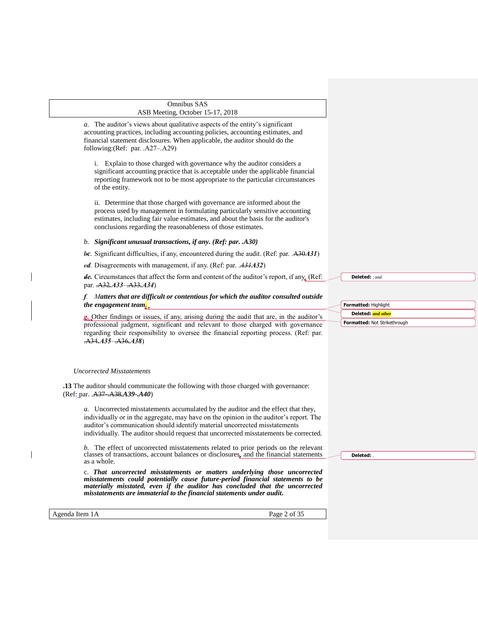*a.* The auditor's views about qualitative aspects of the entity's significant accounting practices, including accounting policies, accounting estimates, and financial statement disclosures. When applicable, the auditor should do the following:(Ref: par. .A27–.A29)

i. Explain to those charged with governance why the auditor considers a significant accounting practice that is acceptable under the applicable financial reporting framework not to be most appropriate to the particular circumstances of the entity.

ii. Determine that those charged with governance are informed about the process used by management in formulating particularly sensitive accounting estimates, including fair value estimates, and about the basis for the auditor's conclusions regarding the reasonableness of those estimates.

#### *b. Significant unusual transactions, if any. (Ref: par. .A30)*

*bc.* Significant difficulties, if any, encountered during the audit. (Ref: par. .A30*A31*)

*cd.* Disagreements with management, if any. (Ref: par. .*A31A32*)

de. Circumstances that affect the form and content of the auditor's report, if any. (Ref: par. .A32*.A33*–.A33*.A34*)

## *f. Matters that are difficult or contentious for which the auditor consulted outside the engagement team.*

*g.* Other findings or issues, if any, arising during the audit that are, in the auditor's professional judgment, significant and relevant to those charged with governance regarding their responsibility to oversee the financial reporting process. (Ref: par. .A34*.A35*–.A36*.A38*)

#### *Uncorrected Misstatements*

 $\mathsf{l}$ 

**.13** The auditor should communicate the following with those charged with governance: (Ref: par. .A37-.A38*.A39-.A40*)

*a.* Uncorrected misstatements accumulated by the auditor and the effect that they, individually or in the aggregate, may have on the opinion in the auditor's report. The auditor's communication should identify material uncorrected misstatements individually. The auditor should request that uncorrected misstatements be corrected.

*b.* The effect of uncorrected misstatements related to prior periods on the relevant classes of transactions, account balances or disclosures, and the financial statements as a whole.

c. *That uncorrected misstatements or matters underlying those uncorrected misstatements could potentially cause future-period financial statements to be materially misstated, even if the auditor has concluded that the uncorrected misstatements are immaterial to the financial statements under audit***.**

| Agenda Item<br>1 A | Page<br>Ωt<br>ر_ر<br>- |
|--------------------|------------------------|
|                    |                        |

**Deleted:** ; and

| Formatted: Highlight         |  |
|------------------------------|--|
| Deleted: and other           |  |
| Formatted: Not Strikethrough |  |

**Deleted:** .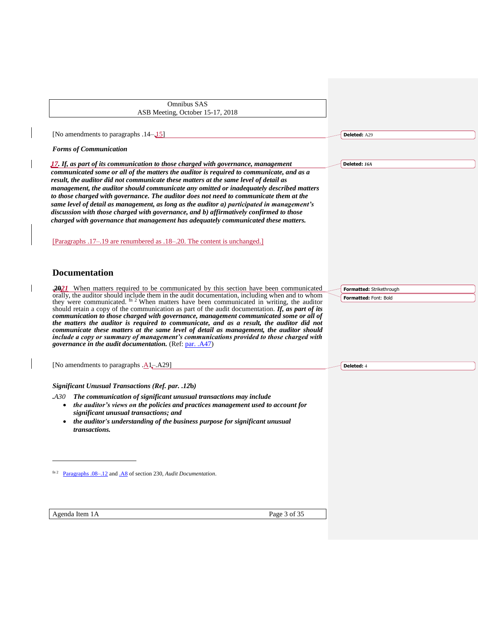| Omnibus SAS                                                                                                                                                                                           |                              |
|-------------------------------------------------------------------------------------------------------------------------------------------------------------------------------------------------------|------------------------------|
|                                                                                                                                                                                                       |                              |
| ASB Meeting, October 15-17, 2018                                                                                                                                                                      |                              |
| [No amendments to paragraphs $.14-15$ ]                                                                                                                                                               | Deleted: A29                 |
| <b>Forms of Communication</b>                                                                                                                                                                         |                              |
| 17. If, as part of its communication to those charged with governance, management                                                                                                                     | Deleted: 16A                 |
| communicated some or all of the matters the auditor is required to communicate, and as a<br>result, the auditor did not communicate these matters at the same level of detail as                      |                              |
| management, the auditor should communicate any omitted or inadequately described matters                                                                                                              |                              |
| to those charged with governance. The auditor does not need to communicate them at the                                                                                                                |                              |
| same level of detail as management, as long as the auditor a) participated in management's                                                                                                            |                              |
| discussion with those charged with governance, and b) affirmatively confirmed to those<br>charged with governance that management has adequately communicated these matters.                          |                              |
|                                                                                                                                                                                                       |                              |
|                                                                                                                                                                                                       |                              |
| [Paragraphs .17–.19 are renumbered as .18–.20. The content is unchanged.]                                                                                                                             |                              |
|                                                                                                                                                                                                       |                              |
|                                                                                                                                                                                                       |                              |
| <b>Documentation</b>                                                                                                                                                                                  |                              |
| <b>2021</b> When matters required to be communicated by this section have been communicated                                                                                                           | Formatted: Strikethrough     |
| orally, the auditor should include them in the audit documentation, including when and to whom<br>they were communicated. <sup>fn 2</sup> When matters have been communicated in writing, the auditor | <b>Formatted: Font: Bold</b> |
| should retain a copy of the communication as part of the audit documentation. If, as part of its                                                                                                      |                              |
| communication to those charged with governance, management communicated some or all of<br>the matters the auditor is required to communicate, and as a result, the auditor did not                    |                              |
| communicate these matters at the same level of detail as management, the auditor should                                                                                                               |                              |
| include a copy or summary of management's communications provided to those charged with                                                                                                               |                              |
| governance in the audit documentation. (Ref: par. .A47)                                                                                                                                               |                              |
| [No amendments to paragraphs $.\underline{A}1,-A29$ ]                                                                                                                                                 | <b>Deleted: 4</b>            |
|                                                                                                                                                                                                       |                              |
| Significant Unusual Transactions (Ref. par. .12b)                                                                                                                                                     |                              |
| .A30 The communication of significant unusual transactions may include                                                                                                                                |                              |
| the auditor's views on the policies and practices management used to account for<br>$\bullet$                                                                                                         |                              |
| significant unusual transactions; and<br>the auditor's understanding of the business purpose for significant unusual                                                                                  |                              |
| <i>transactions.</i>                                                                                                                                                                                  |                              |
|                                                                                                                                                                                                       |                              |
|                                                                                                                                                                                                       |                              |
|                                                                                                                                                                                                       |                              |
|                                                                                                                                                                                                       |                              |
|                                                                                                                                                                                                       |                              |
| $fn 2$ Paragraphs .08–.12 and . $A8$ of section 230, Audit Documentation.                                                                                                                             |                              |
|                                                                                                                                                                                                       |                              |

Agenda Item 1A Page 3 of 35

 $\begin{array}{c} \hline \end{array}$ 

 $\begin{array}{c} \hline \end{array}$ 

 $\begin{array}{c} \rule{0pt}{2ex} \rule{0pt}{2ex} \rule{0pt}{2ex} \rule{0pt}{2ex} \rule{0pt}{2ex} \rule{0pt}{2ex} \rule{0pt}{2ex} \rule{0pt}{2ex} \rule{0pt}{2ex} \rule{0pt}{2ex} \rule{0pt}{2ex} \rule{0pt}{2ex} \rule{0pt}{2ex} \rule{0pt}{2ex} \rule{0pt}{2ex} \rule{0pt}{2ex} \rule{0pt}{2ex} \rule{0pt}{2ex} \rule{0pt}{2ex} \rule{0pt}{2ex} \rule{0pt}{2ex} \rule{0pt}{2ex} \rule{0pt}{2ex} \rule{0pt}{$ 

 $\begin{array}{c} \hline \end{array}$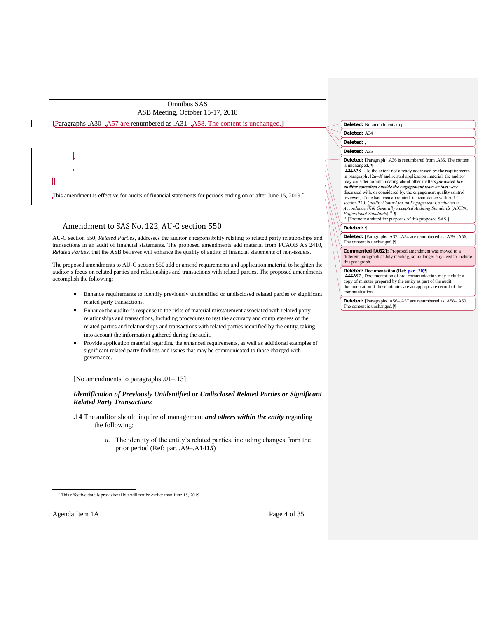<span id="page-3-0"></span>[Paragraphs .A30–.A57 are renumbered as .A31–.A58. The content is unchanged.]

This amendment is effective for audits of financial statements for periods ending on or after June 15, 2019.

## Amendment to SAS No. 122*,* AU-C section 550

AU-C section 550, *Related Parties*, addresses the auditor's responsibility relating to related party relationships and transactions in an audit of financial statements. The proposed amendments add material from PCAOB AS 2410, *Related Parties*, that the ASB believes will enhance the quality of audits of financial statements of non-issuers.

The proposed amendments to AU-C section 550 add or amend requirements and application material to heighten the auditor's focus on related parties and relationships and transactions with related parties. The proposed amendments accomplish the following:

- Enhance requirements to identify previously unidentified or undisclosed related parties or significant related party transactions.
- Enhance the auditor's response to the risks of material misstatement associated with related party relationships and transactions, including procedures to test the accuracy and completeness of the related parties and relationships and transactions with related parties identified by the entity, taking into account the information gathered during the audit.
- Provide application material regarding the enhanced requirements, as well as additional examples of significant related party findings and issues that may be communicated to those charged with governance.

[No amendments to paragraphs .01–.13]

## *Identification of Previously Unidentified or Undisclosed Related Parties or Significant Related Party Transactions*

- **.14** The auditor should inquire of management *and others within the entity* regarding the following:
	- *a.* The identity of the entity's related parties, including changes from the prior period (Ref: par. .A9–.A14*15*)

\* This effective date is provisional but will not be earlier than June 15, 2019.

Agenda Item 1A Page 4 of 35

 $\overline{a}$ 

**Deleted:** No amendments to p

**Deleted:** A34

# **Deleted:** ,

**Deleted:** A35

#### **Deleted:** [Paragraph ..A36 is renumbered from .A35. The content is unchanged.]¶

**.A36A38** To the extent not already addressed by the requirements in paragraph .12*a*–*d***f** and related application material, the auditor may consider communicating about other matters *for which the auditor consulted outside the engagement team or that were*  discussed with, or considered by, the engagement quality control reviewer, if one has been appointed, in accordance with AU-C section 220, *Quality Control for an Engagement Conducted in Accordance With Generally Accepted Auditing Standards* (AICPA, *Professional Standards*).<sup>15</sup> ¶ <sup>5</sup> [Footnote omitted for purposes of this proposed SAS.]

## **Deleted: ¶**

**Deleted:** [Paragraphs .A37–.A54 are renumbered as .A39–.A56. The content is unchanged.]¶

**Commented [AG2]:** Proposed amendment was moved to a different paragraph at July meeting, so no longer any need to include this paragraph.

**Deleted: Documentation (Ref: par. .20)¶ .A***55***A***57* Documentation of oral communication may include a copy of minutes prepared by the entity as part of the audit documentation if those minutes are an appropriate record of the communication.

**Deleted:** [Paragraphs .A56–.A57 are renumbered as .A58–.A59. The content is unchanged.]¶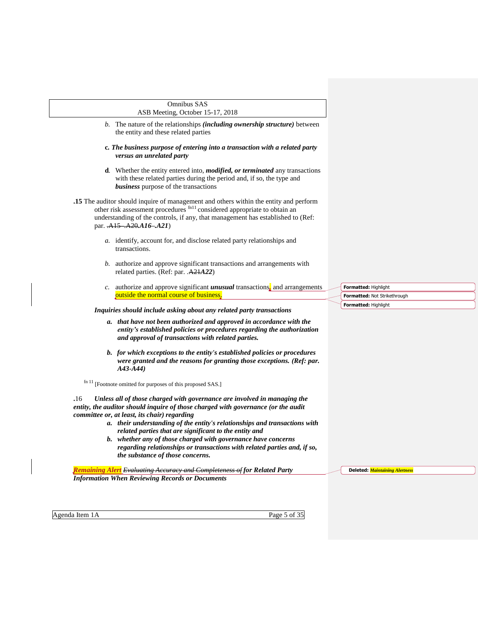*b.* The nature of the relationships *(including ownership structure)* between the entity and these related parties

#### **c***. The business purpose of entering into a transaction with a related party versus an unrelated party*

- **d***.* Whether the entity entered into, *modified, or terminated* any transactions with these related parties during the period and, if so, the type and *business* purpose of the transactions
- **.15** The auditor should inquire of management and others within the entity and perform other risk assessment procedures fn11 considered appropriate to obtain an understanding of the controls, if any, that management has established to (Ref: par. .A15–.A20*.A16–.A21*)
	- *a.* identify, account for, and disclose related party relationships and transactions.
	- *b.* authorize and approve significant transactions and arrangements with related parties. (Ref: par. .A21*A22*)
	- *c.* authorize and approve significant *unusual* transactions*,* and arrangements outside the normal course of business.

## *Inquiries should include asking about any related party transactions*

- *a. that have not been authorized and approved in accordance with the entity's established policies or procedures regarding the authorization and approval of transactions with related parties.*
- *b. for which exceptions to the entity's established policies or procedures were granted and the reasons for granting those exceptions. (Ref: par. A43-A44)*

fn <sup>11</sup> [Footnote omitted for purposes of this proposed SAS.]

**.**16 *Unless all of those charged with governance are involved in managing the entity, the auditor should inquire of those charged with governance (or the audit committee or, at least, its chair) regarding*

- *a. their understanding of the entity's relationships and transactions with related parties that are significant to the entity and*
- *b. whether any of those charged with governance have concerns regarding relationships or transactions with related parties and, if so, the substance of those concerns.*

*Remaining Alert Evaluating Accuracy and Completeness of for Related Party Information When Reviewing Records or Documents*

**Deleted:** *Maintaining Alertness* 

**Formatted:** Highlight **Formatted:** Not Strikethrough **Formatted:** Highlight

| Agenda Item 1A |  |
|----------------|--|
|                |  |

Page 5 of 35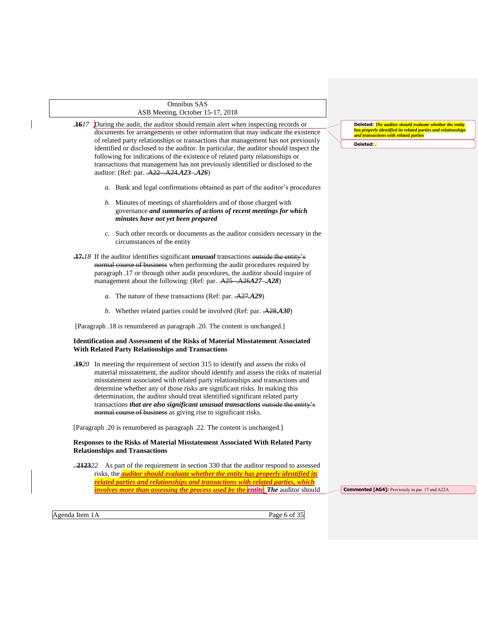- **.16***17* During the audit, the auditor should remain alert when inspecting records or documents for arrangements or other information that may indicate the existence of related party relationships or transactions that management has not previously identified or disclosed to the auditor. In particular, the auditor should inspect the following for indications of the existence of related party relationships or transactions that management has not previously identified or disclosed to the auditor: (Ref: par. .A22–.A24*.A23–.A26*)
	- *a.* Bank and legal confirmations obtained as part of the auditor's procedures
	- *b.* Minutes of meetings of shareholders and of those charged with governance *and summaries of actions of recent meetings for which minutes have not yet been prepared*
	- *c.* Such other records or documents as the auditor considers necessary in the circumstances of the entity
- **.17.***18* If the auditor identifies significant *unusual* transactions outside the entity's normal course of business when performing the audit procedures required by paragraph .17 or through other audit procedures, the auditor should inquire of management about the following: (Ref: par. .A25–.A26*A27–.A28*)
	- *a.* The nature of these transactions (Ref: par. .A27*.A29*)
	- *b.* Whether related parties could be involved (Ref: par. .A28**.***A30*)

[Paragraph .18 is renumbered as paragraph .20. The content is unchanged.]

### **Identification and Assessment of the Risks of Material Misstatement Associated With Related Party Relationships and Transactions**

**.19***20* In meeting the requirement of section 315 to identify and assess the risks of material misstatement, the auditor should identify and assess the risks of material misstatement associated with related party relationships and transactions and determine whether any of those risks are significant risks. In making this determination, the auditor should treat identified significant related party transactions *that are also significant unusual transactions* outside the entity's normal course of business as giving rise to significant risks.

[Paragraph .20 is renumbered as paragraph .22. The content is unchanged.]

## **Responses to the Risks of Material Misstatement Associated With Related Party Relationships and Transactions**

**. 2123***22* As part of the requirement in section 330 that the auditor respond to assessed risks, the *auditor should evaluate whether the entity has properly identified its related parties and relationships and transactions with related parties, which involves more than assessing the process used by the entity. The* auditor should

**Commented [AG4]:** Previously in par. 17 and A22A.

Agenda Item 1A Page 6 of 35

**Deleted:** *The auditor should evaluate whether the entity has properly identified its related parties and relationships and transactions with related parties* **Deleted:** *.*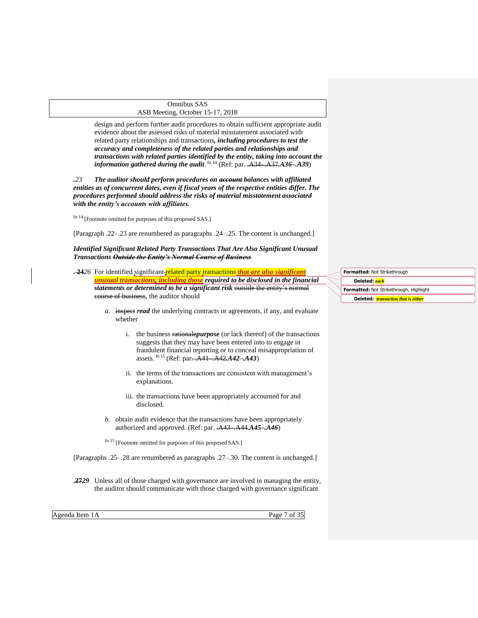design and perform further audit procedures to obtain sufficient appropriate audit evidence about the assessed risks of material misstatement associated with related party relationships and transactions*, including procedures to test the accuracy and completeness of the related parties and relationships and transactions with related parties identified by the entity, taking into account the information gathered during the audit*. fn 14 (Ref: par. .A34–.A37*.A36–.A39*)

*.23 The auditor should perform procedures on account balances with affiliated entities as of concurrent dates, even if fiscal years of the respective entities differ. The procedures performed should address the risks of material misstatement associated with the entity's accounts with affiliates.*

fn <sup>14</sup> [Footnote omitted for purposes of this proposed SAS.]

[Paragraph .22–.23 are renumbered as paragraphs .24–.25. The content is unchanged.]

*Identified Significant Related Party Transactions That Are Also Significant Unusual Transactions Outside the Entity's Normal Course of Business*

- **24**26 For identified significant related party transactions *that are also significant unusual transactions, including those required to be disclosed in the financial statements or determined to be a significant risk* outside the entity's normal course of business, the auditor should
	- *a.* inspect *read* the underlying contracts or agreements, if any, and evaluate whether
		- i. the business rationale*purpose* (or lack thereof) of the transactions suggests that they may have been entered into to engage in fraudulent financial reporting or to conceal misappropriation of assets. fn 15 (Ref: par. .A41–.A42*.A42–.A43*)
		- ii. the terms of the transactions are consistent with management's explanations.
		- iii. the transactions have been appropriately accounted for and disclosed.
	- *b.* obtain audit evidence that the transactions have been appropriately authorized and approved. (Ref: par. .A43–.A44*.A45–.A46*)

fn 15 [Footnote omitted for purposes of this proposed SAS.]

[Paragraphs .25–.28 are renumbered as paragraphs .27–.30. The content is unchanged.]

**.27***29* Unless all of those charged with governance are involved in managing the entity, the auditor should communicate with those charged with governance significant

Agenda Item 1A Page 7 of 35

| Formatted: Not Strikethrough               |
|--------------------------------------------|
| Deleted: each                              |
| Formatted: Not Strikethrough, Highlight    |
| Deleted: <i>transaction that is either</i> |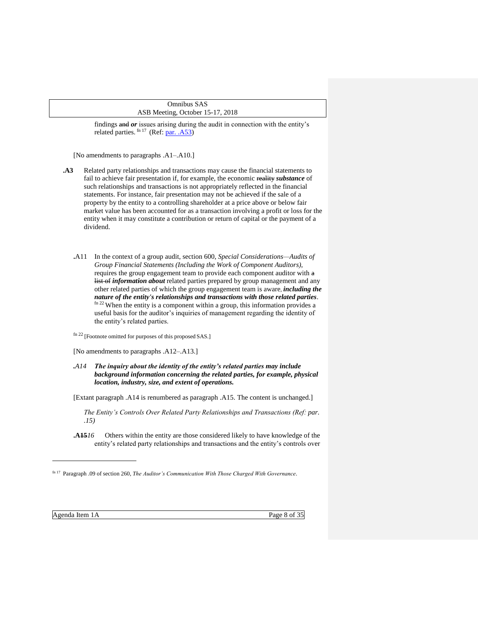findings and *or* issues arising during the audit in connection with the entity's related parties.  $\frac{\text{fn }17}{\text{Ref: par. A53}}$ 

[No amendments to paragraphs .A1–.A10.]

- **.A3** Related party relationships and transactions may cause the financial statements to fail to achieve fair presentation if, for example, the economic reality *substance* of such relationships and transactions is not appropriately reflected in the financial statements. For instance, fair presentation may not be achieved if the sale of a property by the entity to a controlling shareholder at a price above or below fair market value has been accounted for as a transaction involving a profit or loss for the entity when it may constitute a contribution or return of capital or the payment of a dividend.
	- **.**A11 In the context of a group audit, section 600, *Special Considerations—Audits of Group Financial Statements (Including the Work of Component Auditors)*, requires the group engagement team to provide each component auditor with a list of *information about* related parties prepared by group management and any other related parties of which the group engagement team is aware, *including the nature of the entity's relationships and transactions with those related parties*.  $\frac{f_{\text{m}}}{2}$  When the entity is a component within a group, this information provides a useful basis for the auditor's inquiries of management regarding the identity of the entity's related parties.

fn 22 [Footnote omitted for purposes of this proposed SAS.]

[No amendments to paragraphs .A12–.A13.]

*.A14 The inquiry about the identity of the entity's related parties may include background information concerning the related parties, for example, physical location, industry, size, and extent of operations.*

[Extant paragraph .A14 is renumbered as paragraph .A15. The content is unchanged.]

- *The Entity's Controls Over Related Party Relationships and Transactions (Ref: par. .15)*
- **.A15***16* Others within the entity are those considered likely to have knowledge of the entity's related party relationships and transactions and the entity's controls over

Agenda Item 1A Page 8 of 35

j

fn 17 Paragraph .09 of section 260, *The Auditor's Communication With Those Charged With Governance*.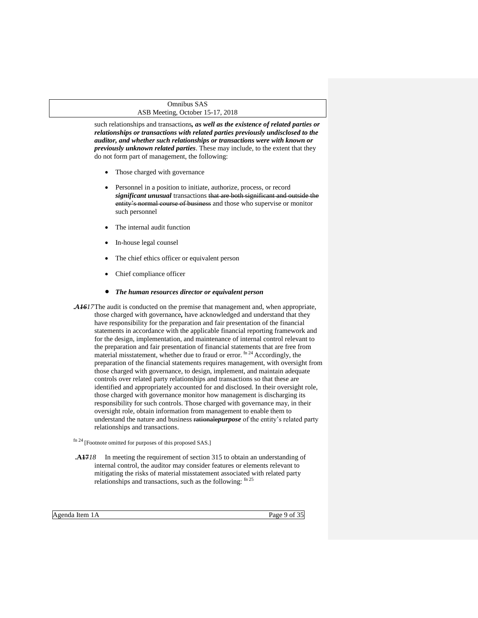such relationships and transactions*, as well as the existence of related parties or relationships or transactions with related parties previously undisclosed to the auditor, and whether such relationships or transactions were with known or previously unknown related parties*. These may include, to the extent that they do not form part of management, the following:

- Those charged with governance
- Personnel in a position to initiate, authorize, process, or record *significant unusual* transactions that are both significant and outsi entity's normal course of business and those who supervise or monitor such personnel
- The internal audit function
- In-house legal counsel
- The chief ethics officer or equivalent person
- Chief compliance officer
- *The human resources director or equivalent person*
- **.***A1617*The audit is conducted on the premise that management and, when appropriate, those charged with governance*,* have acknowledged and understand that they have responsibility for the preparation and fair presentation of the financial statements in accordance with the applicable financial reporting framework and for the design, implementation, and maintenance of internal control relevant to the preparation and fair presentation of financial statements that are free from material misstatement, whether due to fraud or error.  $\mathrm{^{fn}}$  24 Accordingly, the preparation of the financial statements requires management, with oversight from those charged with governance, to design, implement, and maintain adequate controls over related party relationships and transactions so that these are identified and appropriately accounted for and disclosed. In their oversight role, those charged with governance monitor how management is discharging its responsibility for such controls. Those charged with governance may, in their oversight role, obtain information from management to enable them to understand the nature and business rationale*purpose* of the entity's related party relationships and transactions.
- fn 24 [Footnote omitted for purposes of this proposed SAS.]
- **.A17***18* In meeting the requirement of section 315 to obtain an understanding of internal control, the auditor may consider features or elements relevant to mitigating the risks of material misstatement associated with related party relationships and transactions, such as the following:  $ln 25$

Agenda Item 1A Page 9 of 35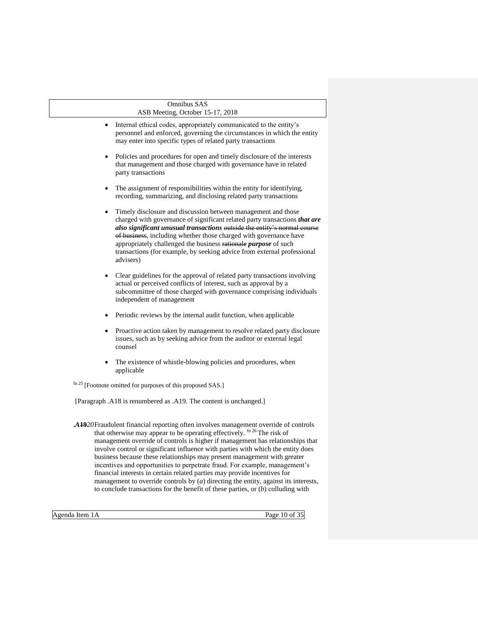- Internal ethical codes, appropriately communicated to the entity's personnel and enforced, governing the circumstances in which the entity may enter into specific types of related party transactions
- Policies and procedures for open and timely disclosure of the interests that management and those charged with governance have in related party transactions
- The assignment of responsibilities within the entity for identifying, recording, summarizing, and disclosing related party transactions
- Timely disclosure and discussion between management and those charged with governance of significant related party transactions *that are also significant unusual transactions* outside the entity's normal course of business, including whether those charged with governance have appropriately challenged the business rationale *purpose* of such transactions (for example, by seeking advice from external professional advisers)
- Clear guidelines for the approval of related party transactions involving actual or perceived conflicts of interest, such as approval by a subcommittee of those charged with governance comprising individuals independent of management
- Periodic reviews by the internal audit function, when applicable
- Proactive action taken by management to resolve related party disclosure issues, such as by seeking advice from the auditor or external legal counsel
- The existence of whistle-blowing policies and procedures, when applicable

fn 25 [Footnote omitted for purposes of this proposed SAS.]

[Paragraph .A18 is renumbered as .A19. The content is unchanged.]

**.***A***19***20*Fraudulent financial reporting often involves management override of controls that otherwise may appear to be operating effectively. <sup>fn 26</sup> The risk of management override of controls is higher if management has relationships that involve control or significant influence with parties with which the entity does business because these relationships may present management with greater incentives and opportunities to perpetrate fraud. For example, management's financial interests in certain related parties may provide incentives for management to override controls by (*a*) directing the entity, against its interests, to conclude transactions for the benefit of these parties, or (*b*) colluding with

Agenda Item 1A Page 10 of 35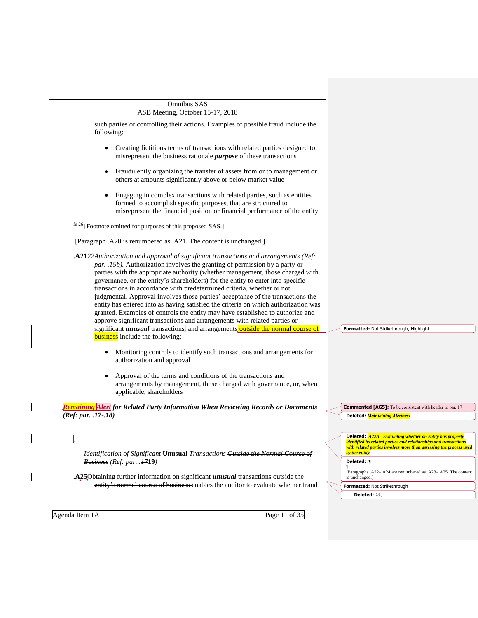| Omnibus SAS                      |  |  |  |  |
|----------------------------------|--|--|--|--|
| ASB Meeting, October 15-17, 2018 |  |  |  |  |

such parties or controlling their actions. Examples of possible fraud include the following:

- Creating fictitious terms of transactions with related parties designed to misrepresent the business rationale *purpose* of these transactions
- Fraudulently organizing the transfer of assets from or to management or others at amounts significantly above or below market value
- Engaging in complex transactions with related parties, such as entities formed to accomplish specific purposes, that are structured to misrepresent the financial position or financial performance of the entity

fn 26 [Footnote omitted for purposes of this proposed SAS.]

[Paragraph .A20 is renumbered as .A21. The content is unchanged.]

**.A21***22Authorization and approval of significant transactions and arrangements (Ref: par. .15b).* Authorization involves the granting of permission by a party or parties with the appropriate authority (whether management, those charged with governance, or the entity's shareholders) for the entity to enter into specific transactions in accordance with predetermined criteria, whether or not judgmental. Approval involves those parties' acceptance of the transactions the entity has entered into as having satisfied the criteria on which authorization was granted. Examples of controls the entity may have established to authorize and approve significant transactions and arrangements with related parties or significant *unusual* transactions, and arrangements outside the normal course of **business** include the following:

- Monitoring controls to identify such transactions and arrangements for authorization and approval
- Approval of the terms and conditions of the transactions and arrangements by management, those charged with governance, or, when applicable, shareholders

*Remaining Alert for Related Party Information When Reviewing Records or Documents (Ref: par. .17-.18)*

*Identification of Significant* **Unusual** *Transactions Outside the Normal Course of Business (Ref: par. .17***19***)*

**.A25**Obtaining further information on significant *unusual* transactions outside the entity's normal course of business enables the auditor to evaluate whether fraud

**Formatted:** Not Strikethrough, Highlight

| <b>Commented [AG5]:</b> To be consistent with header to par. 17 |                                       |  |  |
|-----------------------------------------------------------------|---------------------------------------|--|--|
|                                                                 | <b>Deleted:</b> Maintaining Alertness |  |  |

| <b>Deleted:</b> .422A Evaluating whether an entity has properly<br><i>identified its related parties and relationships and transactions</i><br>with related parties involves more than assessing the process used<br>by the entity |
|------------------------------------------------------------------------------------------------------------------------------------------------------------------------------------------------------------------------------------|
| Deleted: V<br>[Paragraphs .A22-.A24 are renumbered as .A23-.A25. The content<br>is unchanged.]                                                                                                                                     |
| Formatted: Not Strikethrough                                                                                                                                                                                                       |
| Deleted: 26                                                                                                                                                                                                                        |

Agenda Item 1A Page 11 of 35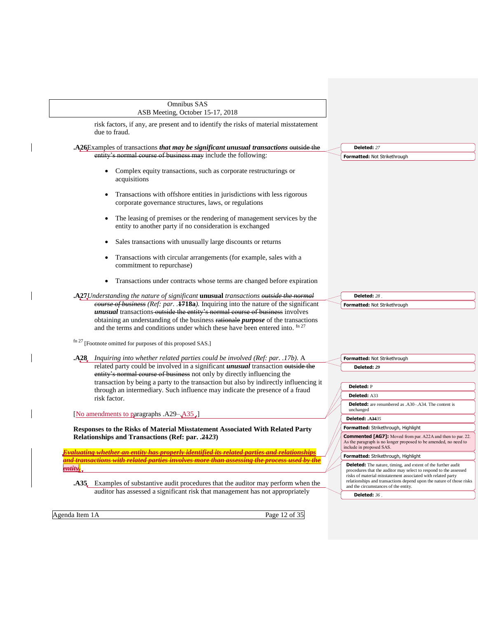|                       | Omnibus SAS<br>ASB Meeting, October 15-17, 2018                                                                                                                 |                                                                                                                                                                                                                                                                                  |
|-----------------------|-----------------------------------------------------------------------------------------------------------------------------------------------------------------|----------------------------------------------------------------------------------------------------------------------------------------------------------------------------------------------------------------------------------------------------------------------------------|
|                       | risk factors, if any, are present and to identify the risks of material misstatement<br>due to fraud.                                                           |                                                                                                                                                                                                                                                                                  |
|                       | .A26Examples of transactions that may be significant unusual transactions outside the                                                                           | Deleted: 27                                                                                                                                                                                                                                                                      |
|                       | entity's normal course of business may include the following:                                                                                                   | Formatted: Not Strikethrough                                                                                                                                                                                                                                                     |
|                       | Complex equity transactions, such as corporate restructurings or<br>$\bullet$<br>acquisitions                                                                   |                                                                                                                                                                                                                                                                                  |
|                       | Transactions with offshore entities in jurisdictions with less rigorous<br>corporate governance structures, laws, or regulations                                |                                                                                                                                                                                                                                                                                  |
|                       | The leasing of premises or the rendering of management services by the<br>$\bullet$<br>entity to another party if no consideration is exchanged                 |                                                                                                                                                                                                                                                                                  |
|                       | Sales transactions with unusually large discounts or returns<br>$\bullet$                                                                                       |                                                                                                                                                                                                                                                                                  |
|                       | Transactions with circular arrangements (for example, sales with a<br>$\bullet$<br>commitment to repurchase)                                                    |                                                                                                                                                                                                                                                                                  |
|                       | Transactions under contracts whose terms are changed before expiration<br>$\bullet$                                                                             |                                                                                                                                                                                                                                                                                  |
|                       | A27Understanding the nature of significant unusual transactions outside the normal                                                                              | Deleted: 28.                                                                                                                                                                                                                                                                     |
|                       | course of business (Ref: par. .1718a). Inquiring into the nature of the significant                                                                             | Formatted: Not Strikethrough                                                                                                                                                                                                                                                     |
|                       | unusual transactions-outside the entity's normal course of business involves                                                                                    |                                                                                                                                                                                                                                                                                  |
|                       | obtaining an understanding of the business rationale purpose of the transactions                                                                                |                                                                                                                                                                                                                                                                                  |
|                       | and the terms and conditions under which these have been entered into. <sup>fn 27</sup>                                                                         |                                                                                                                                                                                                                                                                                  |
|                       | $\frac{\text{fn } 27}{\text{[Foothote omitted for purposes of this proposed SAS.]}}$                                                                            |                                                                                                                                                                                                                                                                                  |
|                       | A <sub>28</sub> , Inquiring into whether related parties could be involved (Ref: par. .17b). A                                                                  | Formatted: Not Strikethrough                                                                                                                                                                                                                                                     |
|                       | related party could be involved in a significant <i>unusual</i> transaction outside the                                                                         | Deleted: 29                                                                                                                                                                                                                                                                      |
|                       | entity's normal course of business not only by directly influencing the                                                                                         |                                                                                                                                                                                                                                                                                  |
|                       | transaction by being a party to the transaction but also by indirectly influencing it                                                                           | Deleted: P                                                                                                                                                                                                                                                                       |
|                       | through an intermediary. Such influence may indicate the presence of a fraud                                                                                    | <b>Deleted: A33</b>                                                                                                                                                                                                                                                              |
|                       | risk factor.                                                                                                                                                    |                                                                                                                                                                                                                                                                                  |
|                       |                                                                                                                                                                 | <b>Deleted:</b> are renumbered as .A30-.A34. The content is<br>unchanged                                                                                                                                                                                                         |
|                       | [No amendments to paragraphs .A29-A35.]                                                                                                                         | <b>Deleted: .A3435</b>                                                                                                                                                                                                                                                           |
|                       | <b>Responses to the Risks of Material Misstatement Associated With Related Party</b>                                                                            | Formatted: Strikethrough, Highlight                                                                                                                                                                                                                                              |
|                       | Relationships and Transactions (Ref: par. . 2423)                                                                                                               | <b>Commented [AG7]:</b> Moved from par. A22A and then to par. 22.<br>As the paragraph is no longer proposed to be amended, no need to<br>include in proposed SAS.                                                                                                                |
|                       | <mark>Evaluating whether an entity has properly identified its related parties and relationships</mark>                                                         | Formatted: Strikethrough, Highlight                                                                                                                                                                                                                                              |
| entity <mark>,</mark> | <mark>and transactions with related parties involves more than assessing the process used by the</mark>                                                         | <b>Deleted:</b> The nature, timing, and extent of the further audit<br>procedures that the auditor may select to respond to the assessed<br>risks of material misstatement associated with related party<br>relationships and transactions depend upon the nature of those risks |
| .A35_                 | Examples of substantive audit procedures that the auditor may perform when the<br>auditor has assessed a significant risk that management has not appropriately | and the circumstances of the entity.                                                                                                                                                                                                                                             |
|                       |                                                                                                                                                                 | Deleted: 36.                                                                                                                                                                                                                                                                     |
|                       |                                                                                                                                                                 |                                                                                                                                                                                                                                                                                  |
| Agenda Item 1A        | Page 12 of 35                                                                                                                                                   |                                                                                                                                                                                                                                                                                  |

 $\mathsf{l}$ 

 $\mathbf{I}$ 

 $\mathsf{l}$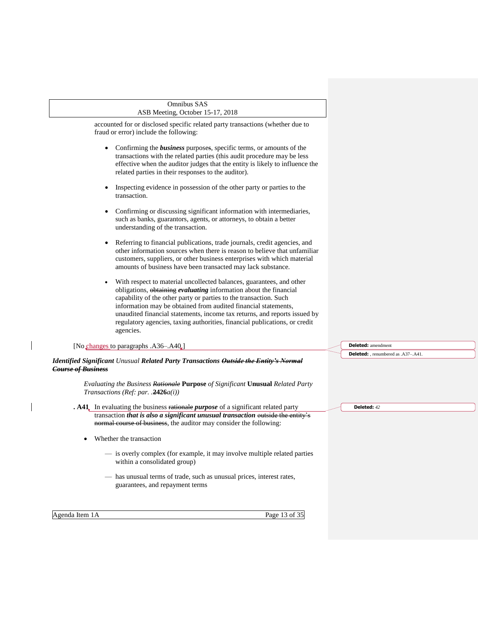accounted for or disclosed specific related party transactions (whether due to fraud or error) include the following:

- Confirming the *business* purposes, specific terms, or amounts of the transactions with the related parties (this audit procedure may be less effective when the auditor judges that the entity is likely to influence the related parties in their responses to the auditor).
- Inspecting evidence in possession of the other party or parties to the transaction.
- Confirming or discussing significant information with intermediaries, such as banks, guarantors, agents, or attorneys, to obtain a better understanding of the transaction.
- Referring to financial publications, trade journals, credit agencies, and other information sources when there is reason to believe that unfamiliar customers, suppliers, or other business enterprises with which material amounts of business have been transacted may lack substance.
- With respect to material uncollected balances, guarantees, and other obligations, obtaining *evaluating* information about the financial capability of the other party or parties to the transaction. Such information may be obtained from audited financial statements, unaudited financial statements, income tax returns, and reports issued by regulatory agencies, taxing authorities, financial publications, or credit agencies.

[No changes to paragraphs .A36-.A40.]

*Identified Significant Unusual Related Party Transactions Outside the Entity's Normal Course of Business*

> *Evaluating the Business Rationale* **Purpose** *of Significant* **Unusual** *Related Party Transactions (Ref: par. .***2426***a(i))*

**. A41** In evaluating the business rationale *purpose* of a significant related party transaction *that is also a significant unusual transaction* outside the entity's normal course of business, the auditor may consider the following:

- Whether the transaction
	- is overly complex (for example, it may involve multiple related parties within a consolidated group)
	- has unusual terms of trade, such as unusual prices, interest rates, guarantees, and repayment terms

Agenda Item 1A Page 13 of 35

**Deleted:** amendment **Deleted:** , renumbered as .A37–.A41.

**Deleted:** *42*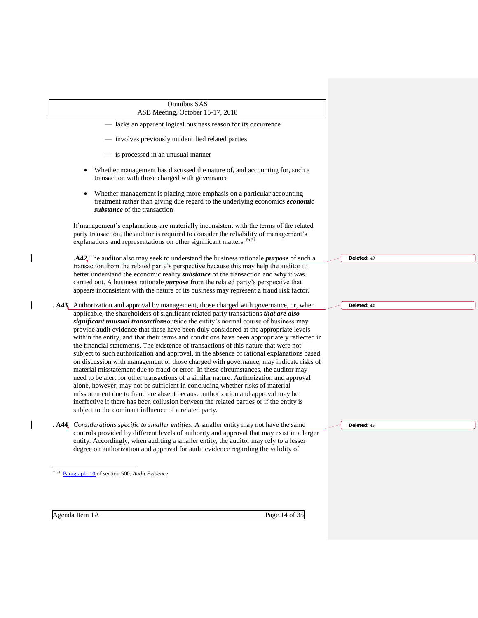| Omnibus SAS<br>ASB Meeting, October 15-17, 2018                                                                                                                                                                                                          |             |
|----------------------------------------------------------------------------------------------------------------------------------------------------------------------------------------------------------------------------------------------------------|-------------|
| - lacks an apparent logical business reason for its occurrence                                                                                                                                                                                           |             |
| — involves previously unidentified related parties                                                                                                                                                                                                       |             |
| — is processed in an unusual manner                                                                                                                                                                                                                      |             |
| Whether management has discussed the nature of, and accounting for, such a<br>$\bullet$<br>transaction with those charged with governance                                                                                                                |             |
| Whether management is placing more emphasis on a particular accounting<br>treatment rather than giving due regard to the underlying economics economic<br>substance of the transaction                                                                   |             |
| If management's explanations are materially inconsistent with the terms of the related<br>party transaction, the auditor is required to consider the reliability of management's<br>explanations and representations on other significant matters. fn 31 |             |
| .A42. The auditor also may seek to understand the business rationale purpose of such a                                                                                                                                                                   | Deleted: 43 |
| transaction from the related party's perspective because this may help the auditor to                                                                                                                                                                    |             |
| better understand the economic reality substance of the transaction and why it was<br>carried out. A business rationale <i>purpose</i> from the related party's perspective that                                                                         |             |
| appears inconsistent with the nature of its business may represent a fraud risk factor.                                                                                                                                                                  |             |
|                                                                                                                                                                                                                                                          |             |
| A43 Authorization and approval by management, those charged with governance, or, when                                                                                                                                                                    | Deleted: 44 |
| applicable, the shareholders of significant related party transactions that are also                                                                                                                                                                     |             |
| significant unusual transactionsoutside the entity's normal course of business may                                                                                                                                                                       |             |
| provide audit evidence that these have been duly considered at the appropriate levels                                                                                                                                                                    |             |
| within the entity, and that their terms and conditions have been appropriately reflected in<br>the financial statements. The existence of transactions of this nature that were not                                                                      |             |
| subject to such authorization and approval, in the absence of rational explanations based                                                                                                                                                                |             |
| on discussion with management or those charged with governance, may indicate risks of                                                                                                                                                                    |             |
| material misstatement due to fraud or error. In these circumstances, the auditor may                                                                                                                                                                     |             |
| need to be alert for other transactions of a similar nature. Authorization and approval                                                                                                                                                                  |             |
| alone, however, may not be sufficient in concluding whether risks of material                                                                                                                                                                            |             |
| misstatement due to fraud are absent because authorization and approval may be                                                                                                                                                                           |             |
| ineffective if there has been collusion between the related parties or if the entity is<br>subject to the dominant influence of a related party.                                                                                                         |             |
| . A44. Considerations specific to smaller entities. A smaller entity may not have the same                                                                                                                                                               | Deleted: 45 |
| controls provided by different levels of authority and approval that may exist in a larger                                                                                                                                                               |             |
| entity. Accordingly, when auditing a smaller entity, the auditor may rely to a lesser                                                                                                                                                                    |             |
| degree on authorization and approval for audit evidence regarding the validity of                                                                                                                                                                        |             |
|                                                                                                                                                                                                                                                          |             |
|                                                                                                                                                                                                                                                          |             |
| fn 31 Paragraph .10 of section 500, Audit Evidence.                                                                                                                                                                                                      |             |

Agenda Item 1A Page 14 of 35

 $\begin{array}{c} \rule{0pt}{2ex} \rule{0pt}{2ex} \rule{0pt}{2ex} \rule{0pt}{2ex} \rule{0pt}{2ex} \rule{0pt}{2ex} \rule{0pt}{2ex} \rule{0pt}{2ex} \rule{0pt}{2ex} \rule{0pt}{2ex} \rule{0pt}{2ex} \rule{0pt}{2ex} \rule{0pt}{2ex} \rule{0pt}{2ex} \rule{0pt}{2ex} \rule{0pt}{2ex} \rule{0pt}{2ex} \rule{0pt}{2ex} \rule{0pt}{2ex} \rule{0pt}{2ex} \rule{0pt}{2ex} \rule{0pt}{2ex} \rule{0pt}{2ex} \rule{0pt}{$ 

 $\mathbf{I}$ 

 $\begin{array}{c} \hline \end{array}$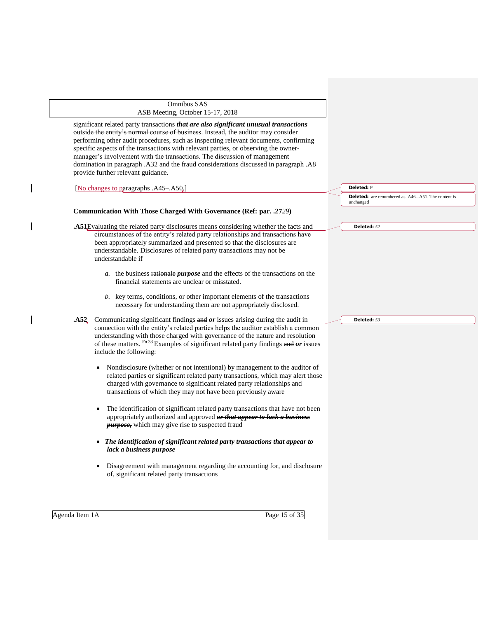significant related party transactions *that are also significant unusual transactions* outside the entity's normal course of business. Instead, the auditor may consider performing other audit procedures, such as inspecting relevant documents, confirming specific aspects of the transactions with relevant parties, or observing the ownermanager's involvement with the transactions. The discussion of management domination in paragraph .A32 and the fraud considerations discussed in paragraph .A8 provide further relevant guidance.

[No changes to paragraphs .A45–.A50.]

## **Communication With Those Charged With Governance (Ref: par. .27***29***)**

- <span id="page-14-0"></span>**.A51**Evaluating the related party disclosures means considering whether the facts and circumstances of the entity's related party relationships and transactions have been appropriately summarized and presented so that the disclosures are understandable. Disclosures of related party transactions may not be understandable if
	- *a.* the business rationale *purpose* and the effects of the transactions on the financial statements are unclear or misstated.
	- *b.* key terms, conditions, or other important elements of the transactions necessary for understanding them are not appropriately disclosed.
- **.A52** Communicating significant findings and *or* issues arising during the audit in connection with the entity's related parties helps the auditor establish a common understanding with those charged with governance of the nature and resolution of these matters. Fn 33 Examples of significant related party findings and *or* issues include the following:
	- Nondisclosure (whether or not intentional) by management to the auditor of related parties or significant related party transactions, which may alert those charged with governance to significant related party relationships and transactions of which they may not have been previously aware
	- The identification of significant related party transactions that have not been appropriately authorized and approved *or that appear to lack a business purpose,* which may give rise to suspected fraud
	- *The identification of significant related party transactions that appear to lack a business purpose*
	- Disagreement with management regarding the accounting for*,* and disclosure of*,* significant related party transactions

Agenda Item 1A Page 15 of 35

**Deleted:** P **Deleted:** are renumbered as .A46–.A51. The content is unchanged

**Deleted:** *52*

**Deleted:** *53*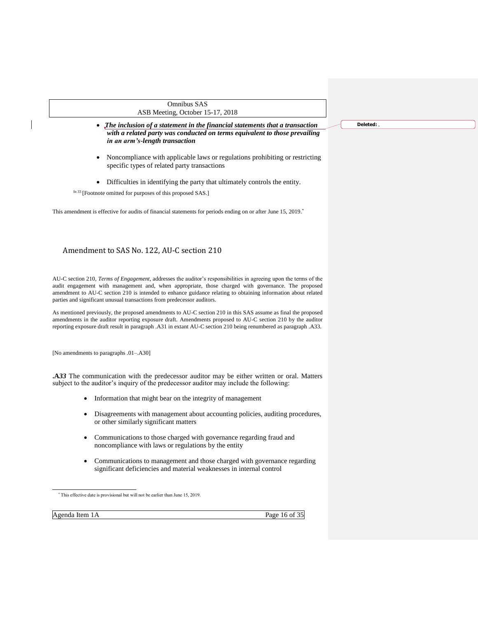- *The inclusion of a statement in the financial statements that a transaction with a related party was conducted on terms equivalent to those prevailing in an arm's-length transaction*
- Noncompliance with applicable law*s* or regulations prohibiting or restricting specific types of related party transactions
- Difficulties in identifying the party that ultimately controls the entity.
- fn 33 [Footnote omitted for purposes of this proposed SAS.]

This amendment is effective for audits of financial statements for periods ending on or after June 15, 2019.

## Amendment to SAS No. 122, AU-C section 210

AU-C section 210, *Terms of Engagement*, addresses the auditor's responsibilities in agreeing upon the terms of the audit engagement with management and, when appropriate, those charged with governance. The proposed amendment to AU-C section 210 is intended to enhance guidance relating to obtaining information about related parties and significant unusual transactions from predecessor auditors.

As mentioned previously, the proposed amendments to AU-C section 210 in this SAS assume as final the proposed amendments in the auditor reporting exposure draft*.* Amendments proposed to AU-C section 210 by the auditor reporting exposure draft result in paragraph .A31 in extant AU-C section 210 being renumbered as paragraph .A33.

[No amendments to paragraphs .01–.A30]

**.A***33* The communication with the predecessor auditor may be either written or oral. Matters subject to the auditor's inquiry of the predecessor auditor may include the following:

- Information that might bear on the integrity of management
- Disagreements with management about accounting policies, auditing procedures, or other similarly significant matters
- Communications to those charged with governance regarding fraud and noncompliance with laws or regulations by the entity
- Communications to management and those charged with governance regarding significant deficiencies and material weaknesses in internal control

Agenda Item 1A Page 16 of 35

 $\overline{a}$ 

**Deleted:** ,

<sup>\*</sup> This effective date is provisional but will not be earlier than June 15, 2019.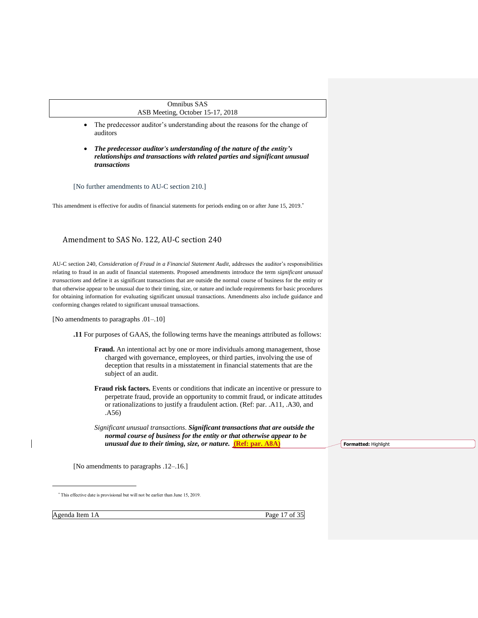- The predecessor auditor's understanding about the reasons for the change of auditors
- *The predecessor auditor's understanding of the nature of the entity's relationships and transactions with related parties and significant unusual transactions*

[No further amendments to AU-C section 210.]

This amendment is effective for audits of financial statements for periods ending on or after June 15, 2019.

## Amendment to SAS No. 122*,* AU-C section 240

AU-C section 240, *Consideration of Fraud in a Financial Statement Audit*, addresses the auditor's responsibilities relating to fraud in an audit of financial statements. Proposed amendments introduce the term *significant unusual transactions* and define it as significant transactions that are outside the normal course of business for the entity or that otherwise appear to be unusual due to their timing, size, or nature and include requirements for basic procedures for obtaining information for evaluating significant unusual transactions. Amendments also include guidance and conforming changes related to significant unusual transactions.

[No amendments to paragraphs .01–.10]

**.11** For purposes of GAAS, the following terms have the meanings attributed as follows:

**Fraud.** An intentional act by one or more individuals among management, those charged with governance, employees, or third parties, involving the use of deception that results in a misstatement in financial statements that are the subject of an audit.

**Fraud risk factors.** Events or conditions that indicate an incentive or pressure to perpetrate fraud, provide an opportunity to commit fraud, or indicate attitudes or rationalizations to justify a fraudulent action. (Ref: [par. .A11,](file:///C:/Users/agoldman/Documents/Clarity%20SASs%20-%20EDs%20and%20Final/Final%20Clarity%20SASs/2017-06/ps_ad_section_200_299.doc%23EQ4DM) [.A30,](file:///C:/Users/agoldman/Documents/Clarity%20SASs%20-%20EDs%20and%20Final/Final%20Clarity%20SASs/2017-06/ps_ad_section_200_299.doc%23EOJEM) and [.A56\)](file:///C:/Users/agoldman/Documents/Clarity%20SASs%20-%20EDs%20and%20Final/Final%20Clarity%20SASs/2017-06/ps_ad_section_200_299.doc%23EW3EM)

*Significant unusual transactions*. *Significant transactions that are outside the normal course of business for the entity or that otherwise appear to be unusual due to their timing, size, or nature.* **(Ref: par. A8A)**

[No amendments to paragraphs .12–.16.]

\* This effective date is provisional but will not be earlier than June 15, 2019.

Agenda Item 1A Page 17 of 35

 $\overline{a}$ 

**Formatted:** Highlight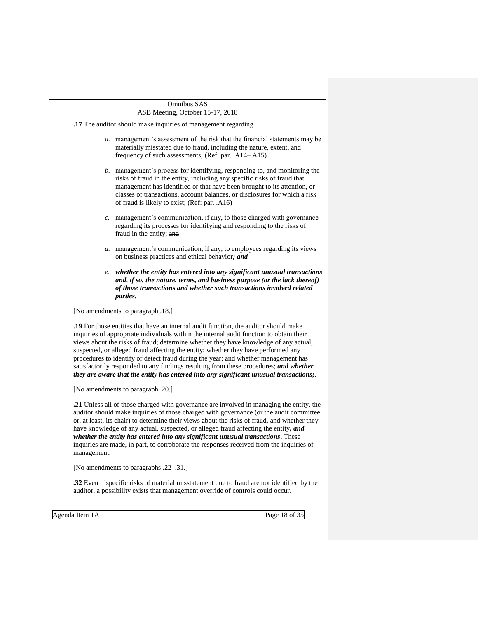**.17** The auditor should make inquiries of management regarding

- *a.* management's assessment of the risk that the financial statements may be materially misstated due to fraud, including the nature, extent, and frequency of such assessments; (Ref: par. .A14–.A15)
- *b.* management's process for identifying, responding to, and monitoring the risks of fraud in the entity, including any specific risks of fraud that management has identified or that have been brought to its attention, or classes of transactions, account balances, or disclosures for which a risk of fraud is likely to exist; (Ref: par. .A16)
- *c.* management's communication, if any, to those charged with governance regarding its processes for identifying and responding to the risks of fraud in the entity; and
- *d.* management's communication, if any, to employees regarding its views on business practices and ethical behavior*; and*
- *e. whether the entity has entered into any significant unusual transactions and, if so, the nature, terms, and business purpose (or the lack thereof) of those transactions and whether such transactions involved related parties.*

[No amendments to paragraph .18.]

**.19** For those entities that have an internal audit function, the auditor should make inquiries of appropriate individuals within the internal audit function to obtain their views about the risks of fraud; determine whether they have knowledge of any actual, suspected, or alleged fraud affecting the entity; whether they have performed any procedures to identify or detect fraud during the year; and whether management has satisfactorily responded to any findings resulting from these procedures; *and whether they are aware that the entity has entered into any significant unusual transactions;*.

[No amendments to paragraph .20.]

**.21** Unless all of those charged with governance are involved in managing the entity, the auditor should make inquiries of those charged with governance (or the audit committee or, at least, its chair) to determine their views about the risks of fraud*,* and whether they have knowledge of any actual, suspected, or alleged fraud affecting the entity*, and whether the entity has entered into any significant unusual transactions*. These inquiries are made, in part, to corroborate the responses received from the inquiries of management.

[No amendments to paragraphs .22–.31.]

**.32** Even if specific risks of material misstatement due to fraud are not identified by the auditor, a possibility exists that management override of controls could occur.

Agenda Item 1A Page 18 of 35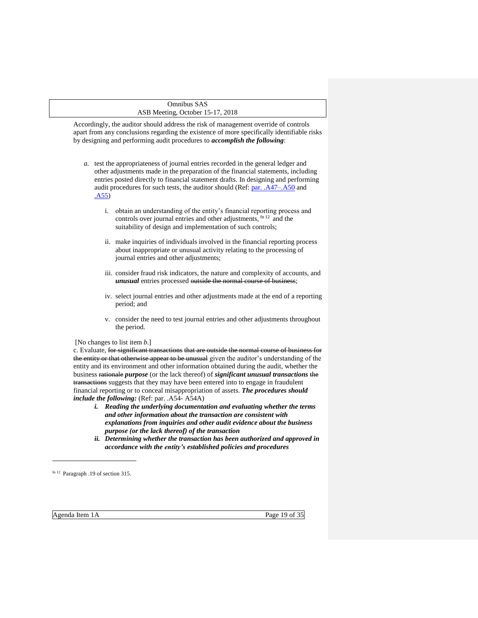Accordingly, the auditor should address the risk of management override of controls apart from any conclusions regarding the existence of more specifically identifiable risks by designing and performing audit procedures to *accomplish the following*:

- *a.* test the appropriateness of journal entries recorded in the general ledger and other adjustments made in the preparation of the financial statements, including entries posted directly to financial statement drafts. In designing and performing audit procedures for such tests, the auditor should (Ref: par. .A47–.A50 and .A55)
	- i. obtain an understanding of the entity's financial reporting process and controls over journal entries and other adjustments,  $^{\text{fn }12}$  and the suitability of design and implementation of such controls;
	- ii. make inquiries of individuals involved in the financial reporting process about inappropriate or unusual activity relating to the processing of journal entries and other adjustments;
	- iii. consider fraud risk indicators, the nature and complexity of accounts, and *unusual* entries processed outside the normal course of business;
	- iv. select journal entries and other adjustments made at the end of a reporting period; and
	- v. consider the need to test journal entries and other adjustments throughout the period.

## [No changes to list item *b*.]

c. Evaluate, for significant transactions that are outside the normal course of business for the entity or that otherwise appear to be unusual given the auditor's understanding of the entity and its environment and other information obtained during the audit, whether the business rationale *purpose* (or the lack thereof) of *significant unusual transactions* the transactions suggests that they may have been entered into to engage in fraudulent financial reporting or to conceal misappropriation of assets. *The procedures should include the following:* (Ref: par. .A54- A54A)

- *i. Reading the underlying documentation and evaluating whether the terms and other information about the transaction are consistent with explanations from inquiries and other audit evidence about the business purpose (or the lack thereof) of the transaction*
- *ii. Determining whether the transaction has been authorized and approved in accordance with the entity's established policies and procedures*

fn 12 Paragraph .19 of section 315.

Agenda Item 1A Page 19 of 35

j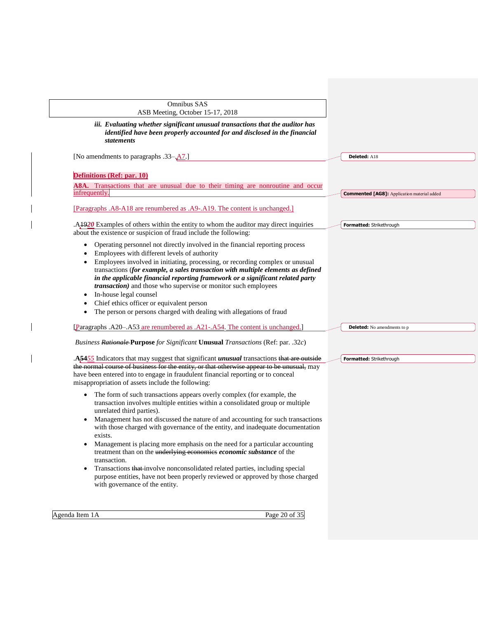Omnibus SAS ASB Meeting, October 15-17, 2018 Agenda Item 1A Page 20 of 35 *iii. Evaluating whether significant unusual transactions that the auditor has identified have been properly accounted for and disclosed in the financial statements* [No amendments to paragraphs  $.33-A7$ .] **Definitions (Ref: par. 10) A8A.** Transactions that are unusual due to their timing are nonroutine and occur infrequently. [Paragraphs .A8-A18 are renumbered as .A9-.A19. The content is unchanged.] .A19*20* Examples of others within the entity to whom the auditor may direct inquiries about the existence or suspicion of fraud include the following: Operating personnel not directly involved in the financial reporting process Employees with different levels of authority Employees involved in initiating, processing, or recording complex or unusual transactions (*for example, a sales transaction with multiple elements as defined in the applicable financial reporting framework or a significant related party transaction)* and those who supervise or monitor such employees • In-house legal counsel Chief ethics officer or equivalent person • The person or persons charged with dealing with allegations of fraud [Paragraphs .A20–.A53 are renumbered as .A21-.A54. The content is unchanged.] *Business Rationale* **Purpose** *for Significant* **Unusual** *Transactions* (Ref: par. .32*c*) .**A54***55* Indicators that may suggest that significant *unusual* transactions that are outside the normal course of business for the entity, or that otherwise appear to be unusual, may have been entered into to engage in fraudulent financial reporting or to conceal misappropriation of assets include the following: The form of such transactions appears overly complex (for example, the transaction involves multiple entities within a consolidated group or multiple unrelated third parties). Management has not discussed the nature of and accounting for such transactions with those charged with governance of the entity, and inadequate documentation exists. Management is placing more emphasis on the need for a particular accounting treatment than on the underlying economics *economic substance* of the transaction. Transactions that involve nonconsolidated related parties, including special purpose entities, have not been properly reviewed or approved by those charged with governance of the entity. **Deleted:** A18 **Commented [AG8]:** Application material added **Formatted:** Strikethrough **Deleted:** No amendments to p **Formatted:** Strikethrough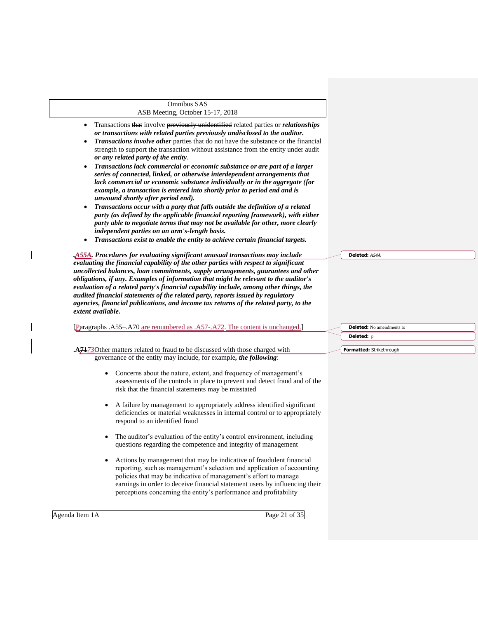- Transactions that involve previously unidentified related parties or *relationships or transactions with related parties previously undisclosed to the auditor.*
- *Transactions involve other* parties that do not have the substance or the financial strength to support the transaction without assistance from the entity under audit *or any related party of the entity*.
- *Transactions lack commercial or economic substance or are part of a larger series of connected, linked, or otherwise interdependent arrangements that lack commercial or economic substance individually or in the aggregate (for example, a transaction is entered into shortly prior to period end and is unwound shortly after period end).*
- *Transactions occur with a party that falls outside the definition of a related party (as defined by the applicable financial reporting framework), with either party able to negotiate terms that may not be available for other, more clearly independent parties on an arm's-length basis.*
- *Transactions exist to enable the entity to achieve certain financial targets.*

*.A55A. Procedures for evaluating significant unusual transactions may include evaluating the financial capability of the other parties with respect to significant uncollected balances, loan commitments, supply arrangements, guarantees and other obligations, if any. Examples of information that might be relevant to the auditor's evaluation of a related party's financial capability include, among other things, the audited financial statements of the related party, reports issued by regulatory agencies, financial publications, and income tax returns of the related party, to the extent available.*

| [Paragraphs .A55-.A70 are renumbered as .A57-.A72. The content is unchanged.]                                                                                                                                       | <b>Deleted:</b> No amendments to |
|---------------------------------------------------------------------------------------------------------------------------------------------------------------------------------------------------------------------|----------------------------------|
|                                                                                                                                                                                                                     | Deleted: p                       |
| <b>A7173</b> Other matters related to fraud to be discussed with those charged with                                                                                                                                 | Formatted: Strikethrough         |
| governance of the entity may include, for example, the following:                                                                                                                                                   |                                  |
| Concerns about the nature, extent, and frequency of management's<br>$\bullet$<br>assessments of the controls in place to prevent and detect fraud and of the<br>risk that the financial statements may be misstated |                                  |
| A failure by management to appropriately address identified significant<br>$\bullet$<br>deficiencies or material weaknesses in internal control or to appropriately<br>respond to an identified fraud               |                                  |

- The auditor's evaluation of the entity's control environment, including questions regarding the competence and integrity of management
- Actions by management that may be indicative of fraudulent financial reporting, such as management's selection and application of accounting policies that may be indicative of management's effort to manage earnings in order to deceive financial statement users by influencing their perceptions concerning the entity's performance and profitability

Agenda Item 1A Page 21 of 35

**Deleted:** *A54A*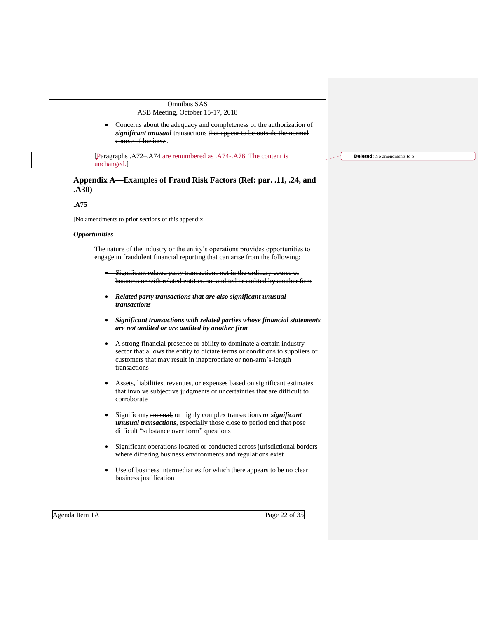Concerns about the adequacy and completeness of the authorization of significant unusual transactions that appear to be outside the norm course of business.

[Paragraphs .A72–.A74 are renumbered as .A74-.A76. The content is unchanged.]

**Deleted:** No amendments to p

## **Appendix A—Examples of Fraud Risk Factors (Ref: par. .11, .24, and .A30)**

**.A75**

[No amendments to prior sections of this appendix.]

## *Opportunities*

The nature of the industry or the entity's operations provides opportunities to engage in fraudulent financial reporting that can arise from the following:

- Significant related party transactions not in the ordinary course of business or with related entities not audited or audited by another firm
- *Related party transactions that are also significant unusual transactions*
- *Significant transactions with related parties whose financial statements are not audited or are audited by another firm*
- A strong financial presence or ability to dominate a certain industry sector that allows the entity to dictate terms or conditions to suppliers or customers that may result in inappropriate or non-arm's-length transactions
- Assets, liabilities, revenues, or expenses based on significant estimates that involve subjective judgments or uncertainties that are difficult to corroborate
- Significant, unusual, or highly complex transactions *or significant unusual transactions*, especially those close to period end that pose difficult "substance over form" questions
- Significant operations located or conducted across jurisdictional borders where differing business environments and regulations exist
- Use of business intermediaries for which there appears to be no clear business justification

Agenda Item 1A Page 22 of 35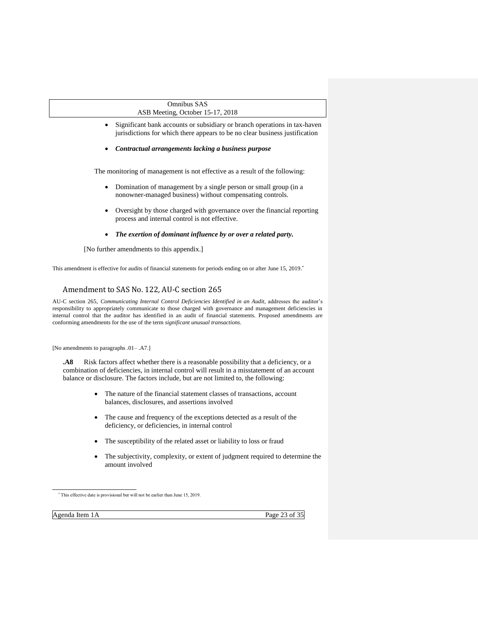- Significant bank accounts or subsidiary or branch operations in tax-haven jurisdictions for which there appears to be no clear business justification
- *Contractual arrangements lacking a business purpose*

The monitoring of management is not effective as a result of the following:

- Domination of management by a single person or small group (in a nonowner-managed business) without compensating controls.
- Oversight by those charged with governance over the financial reporting process and internal control is not effective.
- *The exertion of dominant influence by or over a related party.*

[No further amendments to this appendix.]

This amendment is effective for audits of financial statements for periods ending on or after June 15, 2019.

## Amendment to SAS No. 122*,* AU-C section 265

AU-C section 265, *Communicating Internal Control Deficiencies Identified in an Audit*, addresses the auditor's responsibility to appropriately communicate to those charged with governance and management deficiencies in internal control that the auditor has identified in an audit of financial statements. Proposed amendments are conforming amendments for the use of the term *significant unusual transactions*.

[No amendments to paragraphs .01– .A7.]

**A8** Risk factors affect whether there is a reasonable possibility that a deficiency, or a combination of deficiencies, in internal control will result in a misstatement of an account balance or disclosure. The factors include, but are not limited to, the following:

- The nature of the financial statement classes of transactions, account balances, disclosures, and assertions involved
- The cause and frequency of the exceptions detected as a result of the deficiency, or deficiencies, in internal control
- The susceptibility of the related asset or liability to loss or fraud
- The subjectivity, complexity, or extent of judgment required to determine the amount involved

Agenda Item 1A Page 23 of 35

<sup>\*</sup> This effective date is provisional but will not be earlier than June 15, 2019.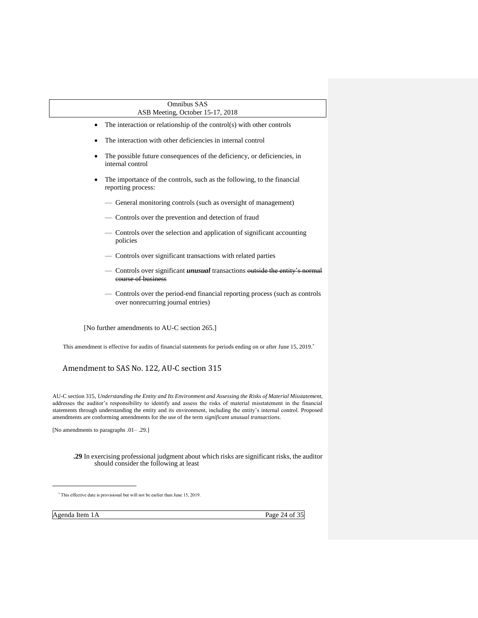- The interaction or relationship of the control(s) with other controls
- The interaction with other deficiencies in internal control
- The possible future consequences of the deficiency, or deficiencies, in internal control
- The importance of the controls, such as the following, to the financial reporting process:
	- General monitoring controls (such as oversight of management)
	- Controls over the prevention and detection of fraud
	- Controls over the selection and application of significant accounting policies
	- Controls over significant transactions with related parties
	- Controls over significant *unusual* transactions outside the entity's normal course of business
	- Controls over the period-end financial reporting process (such as controls over nonrecurring journal entries)

[No further amendments to AU-C section 265.]

This amendment is effective for audits of financial statements for periods ending on or after June 15, 2019.

Amendment to SAS No. 122*,* AU-C section 315

AU-C section 315, *Understanding the Entity and Its Environment and Assessing the Risks of Material Misstatement*, addresses the auditor's responsibility to identify and assess the risks of material misstatement in the financial statements through understanding the entity and its environment, including the entity's internal control. Proposed amendments are conforming amendments for the use of the term *significant unusual transactions*.

[No amendments to paragraphs .01– .29.]

**.29** In exercising professional judgment about which risks are significant risks, the auditor should consider the following at least

Agenda Item 1A Page 24 of 35

<sup>\*</sup> This effective date is provisional but will not be earlier than June 15, 2019.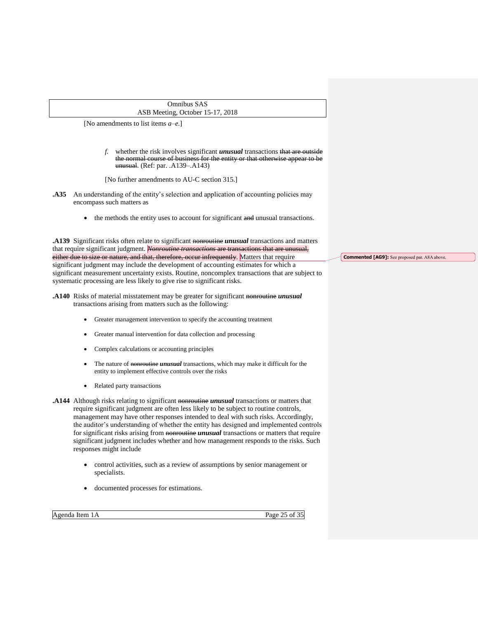[No amendments to list items *a–e*.]

*f.* whether the risk involves significant *unusual* transactions that are outside the normal course of business for the entity or that otherwise appear to be unusual. (Ref: par. .A139–.A143)

[No further amendments to AU-C section 315.]

- **.A35** An understanding of the entity's selection and application of accounting policies may encompass such matters as
	- the methods the entity uses to account for significant and unusual transactions.

**.A139** Significant risks often relate to significant nonroutine *unusual* transactions and matters that require significant judgment. *Nonroutine transactions* are transactions that are unusual, either due to size or nature, and that, therefore, occur infrequently. Matters that require significant judgment may include the development of accounting estimates for which a significant measurement uncertainty exists. Routine, noncomplex transactions that are subject to systematic processing are less likely to give rise to significant risks.

**.A140** Risks of material misstatement may be greater for significant nonroutine *unusual*  transactions arising from matters such as the following:

- Greater management intervention to specify the accounting treatment
- Greater manual intervention for data collection and processing
- Complex calculations or accounting principles
- The nature of nonroutine *unusual* transactions, which may make it difficult for the entity to implement effective controls over the risks
- Related party transactions

**.A144** Although risks relating to significant nonroutine *unusual* transactions or matters that require significant judgment are often less likely to be subject to routine controls, management may have other responses intended to deal with such risks. Accordingly, the auditor's understanding of whether the entity has designed and implemented controls for significant risks arising from nonroutine *unusual* transactions or matters that require significant judgment includes whether and how management responds to the risks. Such responses might include

- control activities, such as a review of assumptions by senior management or specialists.
- documented processes for estimations.

Agenda Item 1A Page 25 of 35

**Commented [AG9]:** See proposed par. A8A above.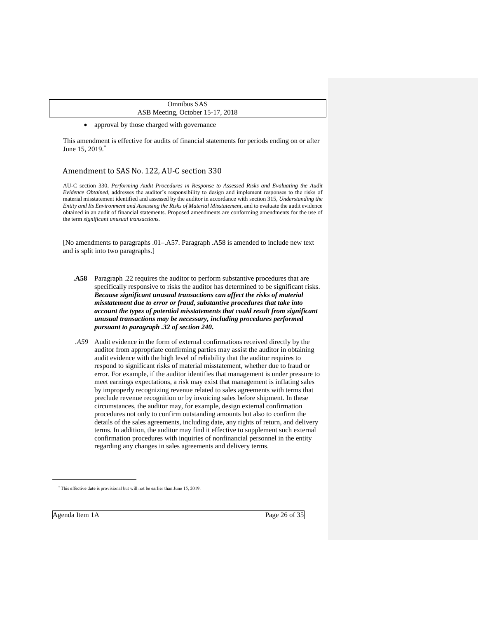| Omnibus SAS                      |  |
|----------------------------------|--|
| ASB Meeting, October 15-17, 2018 |  |

• approval by those charged with governance

This amendment is effective for audits of financial statements for periods ending on or after June 15, 2019.<sup>\*</sup>

#### Amendment to SAS No. 122*,* AU-C section 330

AU-C section 330, *Performing Audit Procedures in Response to Assessed Risks and Evaluating the Audit Evidence Obtained*, addresses the auditor's responsibility to design and implement responses to the risks of material misstatement identified and assessed by the auditor in accordance with section 315, *Understanding the Entity and Its Environment and Assessing the Risks of Material Misstatement*, and to evaluate the audit evidence obtained in an audit of financial statements. Proposed amendments are conforming amendments for the use of the term *significant unusual transactions*.

[No amendments to paragraphs .01–.A57. Paragraph .A58 is amended to include new text and is split into two paragraphs.]

- **.A58** Paragraph .22 requires the auditor to perform substantive procedures that are specifically responsive to risks the auditor has determined to be significant risks. *Because significant unusual transactions can affect the risks of material misstatement due to error or fraud, substantive procedures that take into account the types of potential misstatements that could result from significant unusual transactions may be necessary, including procedures performed pursuant to paragraph .32 of section 240.*
- *.A59* Audit evidence in the form of external confirmations received directly by the auditor from appropriate confirming parties may assist the auditor in obtaining audit evidence with the high level of reliability that the auditor requires to respond to significant risks of material misstatement, whether due to fraud or error. For example, if the auditor identifies that management is under pressure to meet earnings expectations, a risk may exist that management is inflating sales by improperly recognizing revenue related to sales agreements with terms that preclude revenue recognition or by invoicing sales before shipment. In these circumstances, the auditor may, for example, design external confirmation procedures not only to confirm outstanding amounts but also to confirm the details of the sales agreements, including date, any rights of return, and delivery terms. In addition, the auditor may find it effective to supplement such external confirmation procedures with inquiries of nonfinancial personnel in the entity regarding any changes in sales agreements and delivery terms.

Agenda Item 1A Page 26 of 35

<sup>\*</sup> This effective date is provisional but will not be earlier than June 15, 2019.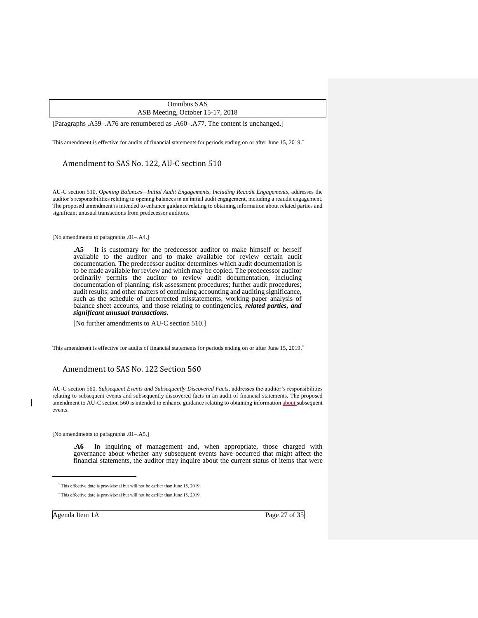[Paragraphs .A59–.A76 are renumbered as .A60–.A77. The content is unchanged.]

This amendment is effective for audits of financial statements for periods ending on or after June 15, 2019.

Amendment to SAS No. 122*,* AU-C section 510

AU-C section 510, *Opening Balances—Initial Audit Engagements, Including Reaudit Engagements*, addresses the auditor's responsibilities relating to opening balances in an initial audit engagement, including a reaudit engagement. The proposed amendment is intended to enhance guidance relating to obtaining information about related parties and significant unusual transactions from predecessor auditors.

[No amendments to paragraphs .01–.A4.]

**.A5** It is customary for the predecessor auditor to make himself or herself available to the auditor and to make available for review certain audit documentation. The predecessor auditor determines which audit documentation is to be made available for review and which may be copied. The predecessor auditor ordinarily permits the auditor to review audit documentation, including documentation of planning; risk assessment procedures; further audit procedures; audit results; and other matters of continuing accounting and auditing significance, such as the schedule of uncorrected misstatements, working paper analysis of balance sheet accounts, and those relating to contingencies*, related parties, and significant unusual transactions.*

[No further amendments to AU-C section 510.]

This amendment is effective for audits of financial statements for periods ending on or after June 15, 2019.

## Amendment to SAS No. 122 Section 560

AU-C section 560, *Subsequent Events and Subsequently Discovered Facts*, addresses the auditor's responsibilities relating to subsequent events and subsequently discovered facts in an audit of financial statements. The proposed amendment to AU-C section 560 is intended to enhance guidance relating to obtaining information about subsequent events.

[No amendments to paragraphs .01–.A5.]

**.A6** In inquiring of management and, when appropriate, those charged with governance about whether any subsequent events have occurred that might affect the financial statements, the auditor may inquire about the current status of items that were

Agenda Item 1A Page 27 of 35

<sup>\*</sup> This effective date is provisional but will not be earlier than June 15, 2019.

<sup>\*</sup> This effective date is provisional but will not be earlier than June 15, 2019.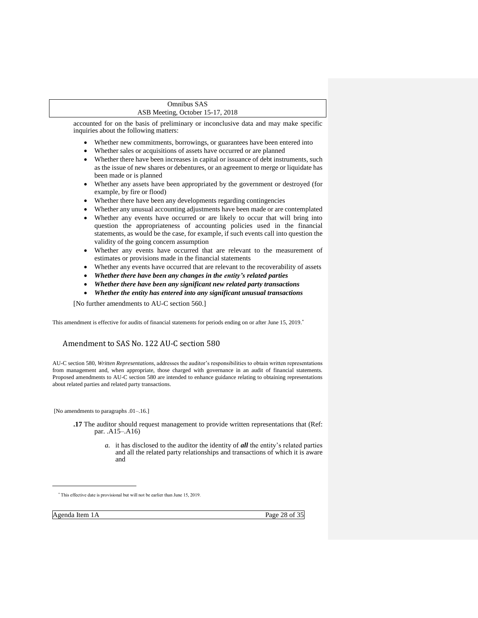accounted for on the basis of preliminary or inconclusive data and may make specific inquiries about the following matters:

- Whether new commitments, borrowings, or guarantees have been entered into
- Whether sales or acquisitions of assets have occurred or are planned
- Whether there have been increases in capital or issuance of debt instruments, such as the issue of new shares or debentures, or an agreement to merge or liquidate has been made or is planned
- Whether any assets have been appropriated by the government or destroyed (for example, by fire or flood)
- Whether there have been any developments regarding contingencies
- Whether any unusual accounting adjustments have been made or are contemplated
- Whether any events have occurred or are likely to occur that will bring into question the appropriateness of accounting policies used in the financial statements, as would be the case, for example, if such events call into question the validity of the going concern assumption
- Whether any events have occurred that are relevant to the measurement of estimates or provisions made in the financial statements
- Whether any events have occurred that are relevant to the recoverability of assets
- *Whether there have been any changes in the entity's related parties*
- *Whether there have been any significant new related party transactions*
- *Whether the entity has entered into any significant unusual transactions*

[No further amendments to AU-C section 560.]

This amendment is effective for audits of financial statements for periods ending on or after June 15, 2019.

## Amendment to SAS No. 122 AU-C section 580

AU-C section 580, *Written Representations*, addresses the auditor's responsibilities to obtain written representations from management and, when appropriate, those charged with governance in an audit of financial statements. Proposed amendments to AU-C section 580 are intended to enhance guidance relating to obtaining representations about related parties and related party transactions.

[No amendments to paragraphs .01–.16.]

- **.17** The auditor should request management to provide written representations that (Ref: par. .A15–.A16)
	- *a.* it has disclosed to the auditor the identity of *all* the entity's related parties and all the related party relationships and transactions of which it is aware and

Agenda Item 1A Page 28 of 35

<sup>\*</sup> This effective date is provisional but will not be earlier than June 15, 2019.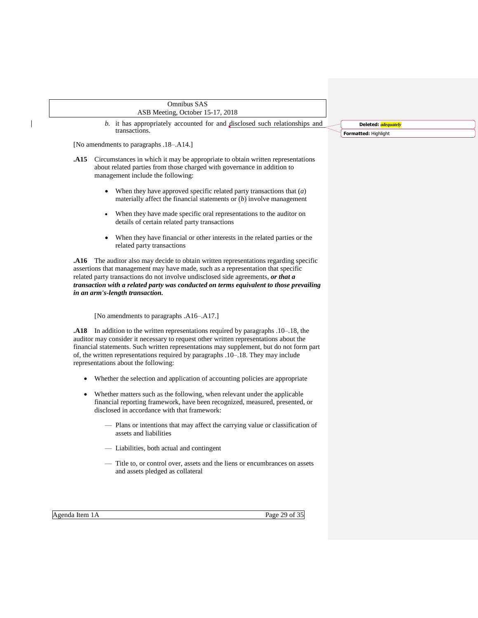| Omnibus SAS                      |  |
|----------------------------------|--|
| ASB Meeting, October 15-17, 2018 |  |

*b*. it has appropriately accounted for and disclosed such relationships and transactions.

[No amendments to paragraphs .18–.A14.]

- **.A15** Circumstances in which it may be appropriate to obtain written representations about related parties from those charged with governance in addition to management include the following:
	- When they have approved specific related party transactions that (*a*) materially affect the financial statements or (*b*) involve management
	- When they have made specific oral representations to the auditor on details of certain related party transactions
	- When they have financial or other interests in the related parties or the related party transactions

**.A16** The auditor also may decide to obtain written representations regarding specific assertions that management may have made, such as a representation that specific related party transactions do not involve undisclosed side agreements, *or that a transaction with a related party was conducted on terms equivalent to those prevailing in an arm's-length transaction.* 

## [No amendments to paragraphs .A16–.A17.]

**.A18** In addition to the written representations required by paragraphs .10–.18, the auditor may consider it necessary to request other written representations about the financial statements. Such written representations may supplement, but do not form part of, the written representations required by paragraphs .10–.18. They may include representations about the following:

- Whether the selection and application of accounting policies are appropriate
- Whether matters such as the following, when relevant under the applicable financial reporting framework, have been recognized, measured, presented, or disclosed in accordance with that framework:
	- Plans or intentions that may affect the carrying value or classification of assets and liabilities
	- Liabilities, both actual and contingent
	- Title to, or control over, assets and the liens or encumbrances on assets and assets pledged as collateral

Agenda Item 1A Page 29 of 35

**Deleted:** *adequately* **Formatted:** Highlight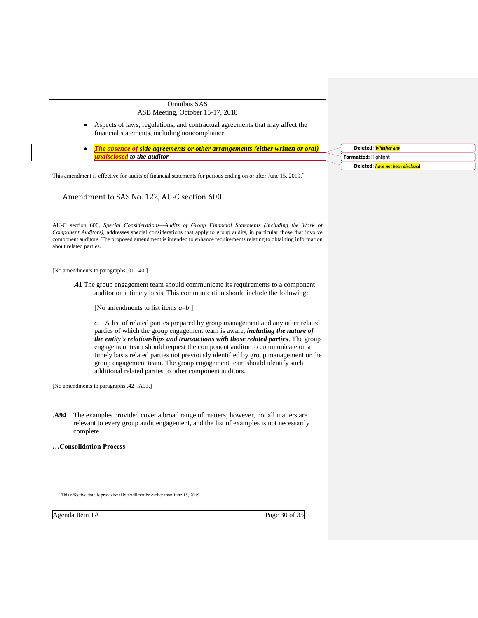- Aspects of laws, regulations, and contractual agreements that may affect the financial statements, including noncompliance
- *The absence of side agreements or other arrangements (either written or oral) undisclosed to the auditor*

This amendment is effective for audits of financial statements for periods ending on or after June 15, 2019.

## Amendment to SAS No. 122*,* AU-C section 600

AU-C section 600, *Special Considerations—Audits of Group Financial Statements (Including the Work of Component Auditors)*, addresses special considerations that apply to group audits, in particular those that involve component auditors. The proposed amendment is intended to enhance requirements relating to obtaining information about related parties.

[No amendments to paragraphs .01–.40.]

**.41** The group engagement team should communicate its requirements to a component auditor on a timely basis. This communication should include the following:

[No amendments to list items *a–b*.]

*c.* A list of related parties prepared by group management and any other related parties of which the group engagement team is aware, *including the nature of the entity's relationships and transactions with those related parties*. The group engagement team should request the component auditor to communicate on a timely basis related parties not previously identified by group management or the group engagement team. The group engagement team should identify such additional related parties to other component auditors.

[No amendments to paragraphs .42–.A93.]

**.A94** The examples provided cover a broad range of matters; however, not all matters are relevant to every group audit engagement, and the list of examples is not necessarily complete.

**…Consolidation Process**

Agenda Item 1A Page 30 of 35

| Deleted: Whether any             |
|----------------------------------|
| Formatted: Highlight             |
| Deleted: have not been disclosed |

<sup>\*</sup> This effective date is provisional but will not be earlier than June 15, 2019.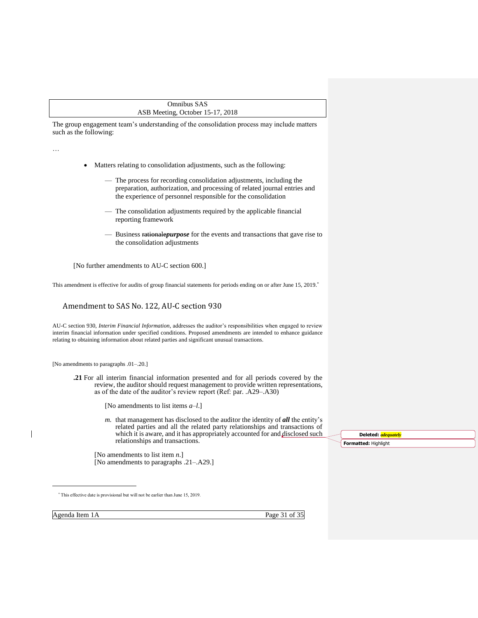The group engagement team's understanding of the consolidation process may include matters such as the following:

…

- Matters relating to consolidation adjustments, such as the following:
	- The process for recording consolidation adjustments, including the preparation, authorization, and processing of related journal entries and the experience of personnel responsible for the consolidation
	- The consolidation adjustments required by the applicable financial reporting framework
	- Business rationale*purpose* for the events and transactions that gave rise to the consolidation adjustments

[No further amendments to AU-C section 600.]

This amendment is effective for audits of group financial statements for periods ending on or after June 15, 2019.

## Amendment to SAS No. 122*,* AU-C section 930

AU-C section 930, *Interim Financial Information*, addresses the auditor's responsibilities when engaged to review interim financial information under specified conditions. Proposed amendments are intended to enhance guidance relating to obtaining information about related parties and significant unusual transactions.

[No amendments to paragraphs .01–.20.]

**.21** For all interim financial information presented and for all periods covered by the review, the auditor should request management to provide written representations, as of the date of the auditor's review report (Ref: par. .A29–.A30)

[No amendments to list items *a–l*.]

*m.* that management has disclosed to the auditor the identity of *all* the entity's related parties and all the related party relationships and transactions of which it is aware, and it has appropriately accounted for and disclosed such relationships and transactions.

[No amendments to list item *n*.] [No amendments to paragraphs .21–.A29.]

\* This effective date is provisional but will not be earlier than June 15, 2019.

Agenda Item 1A Page 31 of 35

 $\overline{a}$ 

 $\mathsf{l}$ 

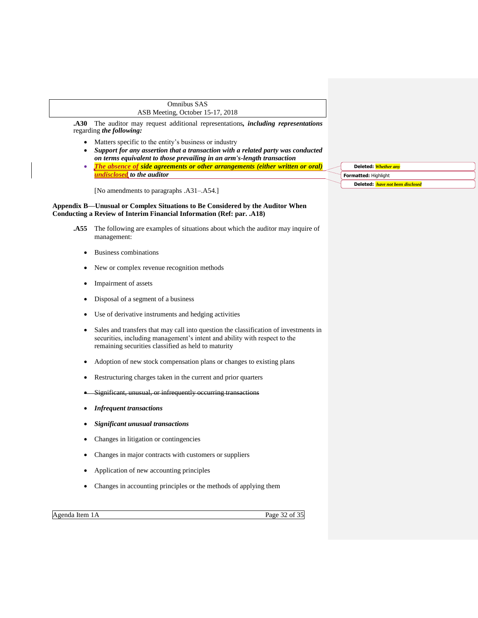**.A30** The auditor may request additional representations*, including representations* regarding *the following:*

- Matters specific to the entity's business or industry
- *Support for any assertion that a transaction with a related party was conducted on terms equivalent to those prevailing in an arm's-length transaction*
- *The absence of side agreements or other arrangements (either written or oral) undisclosed to the auditor*

[No amendments to paragraphs .A31–.A54.]

### **Appendix B—Unusual or Complex Situations to Be Considered by the Auditor When Conducting a Review of Interim Financial Information (Ref: par. .A18)**

- **.A55** The following are examples of situations about which the auditor may inquire of management:
	- Business combinations
	- New or complex revenue recognition methods
	- Impairment of assets
	- Disposal of a segment of a business
	- Use of derivative instruments and hedging activities
	- Sales and transfers that may call into question the classification of investments in securities, including management's intent and ability with respect to the remaining securities classified as held to maturity
	- Adoption of new stock compensation plans or changes to existing plans
	- Restructuring charges taken in the current and prior quarters
	- Significant, unusual, or infrequently occurring transactions
	- *Infrequent transactions*
	- *Significant unusual transactions*
	- Changes in litigation or contingencies
	- Changes in major contracts with customers or suppliers
	- Application of new accounting principles
	- Changes in accounting principles or the methods of applying them

Agenda Item 1A Page 32 of 35

| Deleted: Whether any             |
|----------------------------------|
| <b>Formatted: Highlight</b>      |
| Deleted: have not been disclosed |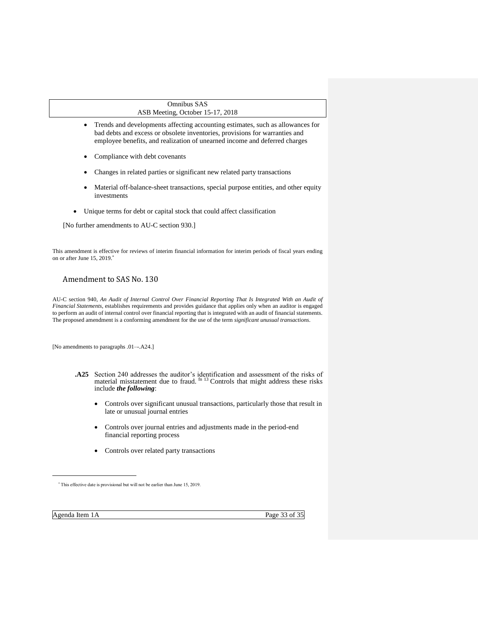- Trends and developments affecting accounting estimates, such as allowances for bad debts and excess or obsolete inventories, provisions for warranties and employee benefits, and realization of unearned income and deferred charges
- Compliance with debt covenants
- Changes in related parties or significant new related party transactions
- Material off-balance-sheet transactions, special purpose entities, and other equity investments
- Unique terms for debt or capital stock that could affect classification

[No further amendments to AU-C section 930.]

This amendment is effective for reviews of interim financial information for interim periods of fiscal years ending on or after June 15, 2019. \*

## Amendment to SAS No. 130

AU-C section 940, *An Audit of Internal Control Over Financial Reporting That Is Integrated With an Audit of Financial Statements*, establishes requirements and provides guidance that applies only when an auditor is engaged to perform an audit of internal control over financial reporting that is integrated with an audit of financial statements. The proposed amendment is a conforming amendment for the use of the term *significant unusual transactions*.

[No amendments to paragraphs .01–-.A24.]

- **.A25** Section 240 addresses the auditor's identification and assessment of the risks of material misstatement due to fraud.  $\sin$  13 Controls that might address these risks include *the following*:
	- Controls over significant unusual transactions, particularly those that result in late or unusual journal entries
	- Controls over journal entries and adjustments made in the period-end financial reporting process
	- Controls over related party transactions

Agenda Item 1A Page 33 of 35

l

<sup>\*</sup> This effective date is provisional but will not be earlier than June 15, 2019.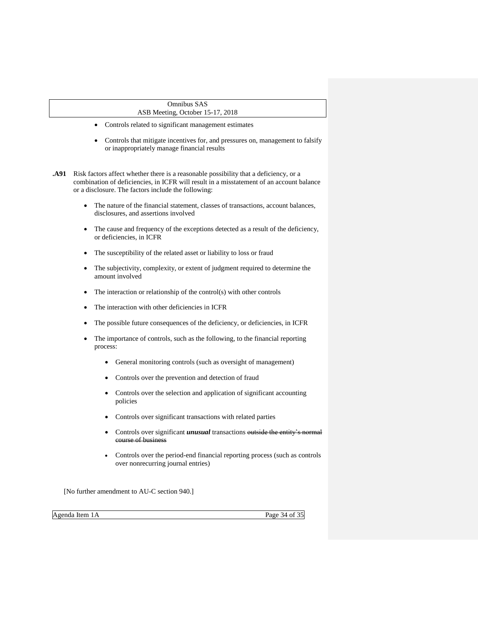- Controls related to significant management estimates
- Controls that mitigate incentives for, and pressures on, management to falsify or inappropriately manage financial results
- **.A91** Risk factors affect whether there is a reasonable possibility that a deficiency, or a combination of deficiencies, in ICFR will result in a misstatement of an account balance or a disclosure. The factors include the following:
	- The nature of the financial statement, classes of transactions, account balances, disclosures, and assertions involved
	- The cause and frequency of the exceptions detected as a result of the deficiency, or deficiencies, in ICFR
	- The susceptibility of the related asset or liability to loss or fraud
	- The subjectivity, complexity, or extent of judgment required to determine the amount involved
	- The interaction or relationship of the control(s) with other controls
	- The interaction with other deficiencies in ICFR
	- The possible future consequences of the deficiency, or deficiencies, in ICFR
	- The importance of controls, such as the following, to the financial reporting process:
		- General monitoring controls (such as oversight of management)
		- Controls over the prevention and detection of fraud
		- Controls over the selection and application of significant accounting policies
		- Controls over significant transactions with related parties
		- Controls over significant *unusual* transactions outside the entity's normal course of business
		- Controls over the period-end financial reporting process (such as controls over nonrecurring journal entries)

[No further amendment to AU-C section 940.]

Agenda Item 1A Page 34 of 35